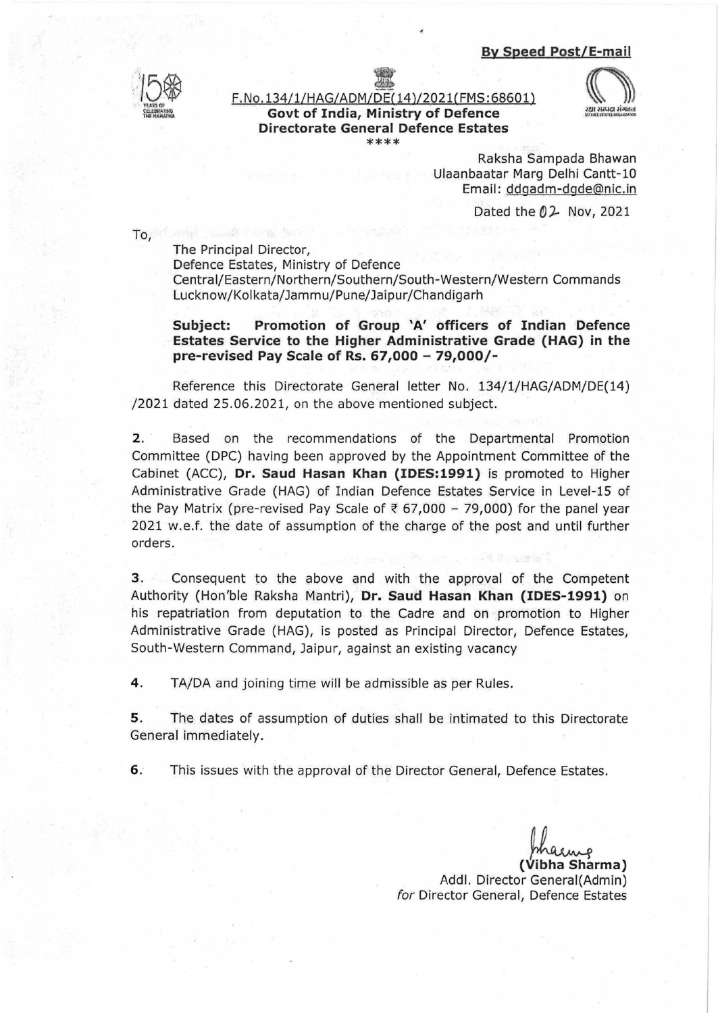



F. No. 134/1/HAG/ADM/DE(14)/2021(FMS: 68601) **Govt of India, Ministry of Defence Directorate General Defence Estates**  \*\*\*\*



Raksha Sampada Bhawan Ulaanbaatar Marg Delhi Cantt-10 Email: ddgadm-dgde@nic.in

Dated the  $02$  Nov, 2021

To, if we're played the set

The Principal Director,

Defence Estates, Ministry of Defence Central/Eastern/Northern/Southern/South-Western/Western Commands Lucknow/Kolkata/Jammu/Pune/Jaipur/Chandigarh

**Subject: Promotion of Group 'A' officers of Indian Defence Estates Service to the Higher Administrative Grade (HAG) in the pre-revised Pay Scale of Rs. 67,000- 79,000/-**

Reference this Directorate General letter No. 134/1/HAG/ADM/DE(14) /2021 dated 25.06.2021, on the above mentioned subject.

2. Based on the recommendations of the Departmental Promotion Committee (DPC) having been approved by the Appointment Committee of the Cabinet (ACC), **Dr. Saud Hasan Khan (IDES:1991)** is promoted to Higher Administrative Grade (HAG) of Indian Defence Estates Service in Level-15 of the Pay Matrix (pre-revised Pay Scale of  $\overline{\epsilon}$  67,000 - 79,000) for the panel year 2021 w.e.f. the date of assumption of the charge of the post and until further orders.

**3.** Consequent to the above and with the approval of the Competent Authority (Hon'ble Raksha Mantri), **Dr. Saud Hasan Khan (IDES-1991)** on his repatriation from deputation to the Cadre and on promotion to Higher Administrative Grade (HAG), is posted as Principal Director, Defence Estates, South-Western Command, Jaipur, against an existing vacancy

**4.** TA/DA and joining time will be admissible as per Rules.

**5.** The dates of assumption of duties shall be intimated to this Directorate General immediately.

**6.** This issues with the approval of the Director General, Defence Estates.

(Vibha Sharma) Addl. Director Generai(Admin) for Director General, Defence Estates